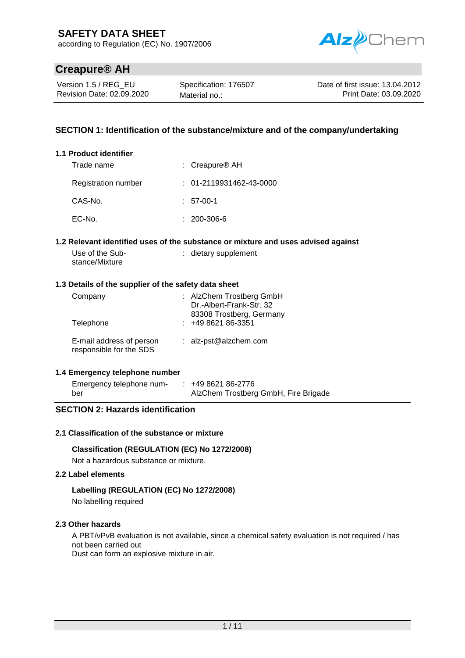according to Regulation (EC) No. 1907/2006



# **Creapure® AH**

 $1.1$ 

Version 1.5 / REG\_EU Revision Date: 02.09.2020

Specification: 176507 Material no.:

Date of first issue: 13.04.2012 Print Date: 03.09.2020

## **SECTION 1: Identification of the substance/mixture and of the company/undertaking**

| <b>Product identifier</b> |                                 |
|---------------------------|---------------------------------|
| Trade name                | : Creapure <sup>®</sup> AH      |
| Registration number       | $: 01 - 2119931462 - 43 - 0000$ |
| CAS-No.                   | $: 57-00-1$                     |
| EC-No.                    | : 200-306-6                     |

#### **1.2 Relevant identified uses of the substance or mixture and uses advised against**

| Use of the Sub- | : dietary supplement |
|-----------------|----------------------|
| stance/Mixture  |                      |

#### **1.3 Details of the supplier of the safety data sheet**

| Company<br>Telephone     | : AlzChem Trostberg GmbH<br>Dr.-Albert-Frank-Str. 32<br>83308 Trostberg, Germany<br>$: 49862186-3351$ |
|--------------------------|-------------------------------------------------------------------------------------------------------|
| E-mail address of person | : alz-pst@alzchem.com                                                                                 |
| responsible for the SDS  |                                                                                                       |

#### **1.4 Emergency telephone number**

| Emergency telephone num- | $: +49862186-2776$                   |
|--------------------------|--------------------------------------|
| ber                      | AlzChem Trostberg GmbH, Fire Brigade |

## **SECTION 2: Hazards identification**

#### **2.1 Classification of the substance or mixture**

#### **Classification (REGULATION (EC) No 1272/2008)**

Not a hazardous substance or mixture.

#### **2.2 Label elements**

#### **Labelling (REGULATION (EC) No 1272/2008)**

No labelling required

#### **2.3 Other hazards**

A PBT/vPvB evaluation is not available, since a chemical safety evaluation is not required / has not been carried out

Dust can form an explosive mixture in air.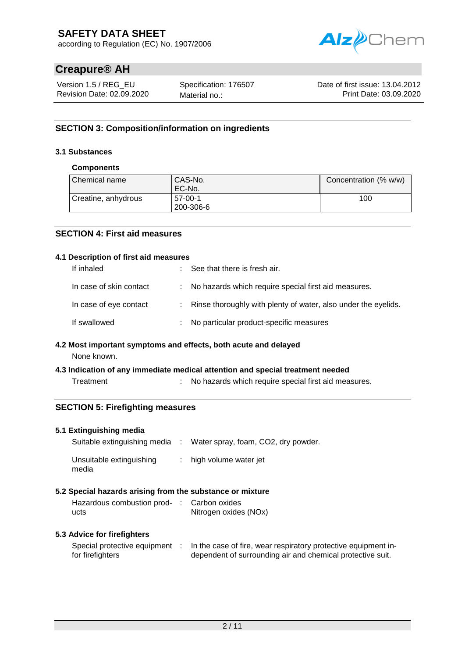according to Regulation (EC) No. 1907/2006



# **Creapure® AH**

Version 1.5 / REG\_EU Revision Date: 02.09.2020

Specification: 176507 Material no.:

Date of first issue: 13.04.2012 Print Date: 03.09.2020

# **SECTION 3: Composition/information on ingredients**

## **3.1 Substances**

## **Components**

| Chemical name       | CAS-No.<br>EC-No.      | Concentration (% w/w) |
|---------------------|------------------------|-----------------------|
| Creatine, anhydrous | $57-00-1$<br>200-306-6 | 100                   |

## **SECTION 4: First aid measures**

#### **4.1 Description of first aid measures**

| If inhaled              | See that there is fresh air.                                     |
|-------------------------|------------------------------------------------------------------|
| In case of skin contact | : No hazards which require special first aid measures.           |
| In case of eye contact  | : Rinse thoroughly with plenty of water, also under the eyelids. |
| If swallowed            | : No particular product-specific measures                        |

#### **4.2 Most important symptoms and effects, both acute and delayed**

None known.

#### **4.3 Indication of any immediate medical attention and special treatment needed**

Treatment : No hazards which require special first aid measures.

## **SECTION 5: Firefighting measures**

#### **5.1 Extinguishing media**

| Suitable extinguishing media      | : Water spray, foam, $CO2$ , dry powder. |
|-----------------------------------|------------------------------------------|
| Unsuitable extinguishing<br>media | $:$ high volume water jet                |

#### **5.2 Special hazards arising from the substance or mixture**

| Hazardous combustion prod- : Carbon oxides |                       |
|--------------------------------------------|-----------------------|
| ucts                                       | Nitrogen oxides (NOx) |

#### **5.3 Advice for firefighters**

| Special protective equipment | In the case of fire, wear respiratory protective equipment in- |
|------------------------------|----------------------------------------------------------------|
| for firefighters             | dependent of surrounding air and chemical protective suit.     |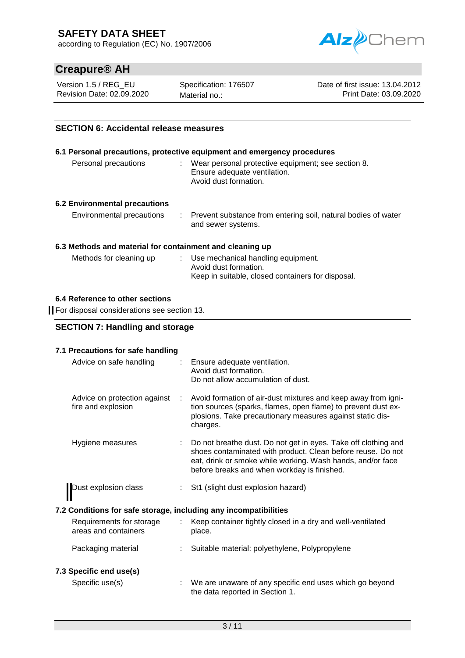according to Regulation (EC) No. 1907/2006



# **Creapure® AH**

Version 1.5 / REG\_EU Revision Date: 02.09.2020 Specification: 176507 Material no.:

Date of first issue: 13.04.2012 Print Date: 03.09.2020

## **SECTION 6: Accidental release measures**

|                               | 6.1 Personal precautions, protective equipment and emergency procedures                                       |
|-------------------------------|---------------------------------------------------------------------------------------------------------------|
| Personal precautions          | : Wear personal protective equipment; see section 8.<br>Ensure adequate ventilation.<br>Avoid dust formation. |
| 6.2 Environmental precautions |                                                                                                               |
| Environmental precautions     | : Prevent substance from entering soil, natural bodies of water<br>and sewer systems.                         |

#### **6.3 Methods and material for containment and cleaning up**

| Methods for cleaning up | : Use mechanical handling equipment.              |
|-------------------------|---------------------------------------------------|
|                         | Avoid dust formation.                             |
|                         | Keep in suitable, closed containers for disposal. |

#### **6.4 Reference to other sections**

For disposal considerations see section 13.

|  |  | <b>SECTION 7: Handling and storage</b> |
|--|--|----------------------------------------|
|--|--|----------------------------------------|

#### **7.1 Precautions for safe handling**

| Advice on safe handling                                          | : Ensure adequate ventilation.<br>Avoid dust formation.<br>Do not allow accumulation of dust.                                                                                                                                              |
|------------------------------------------------------------------|--------------------------------------------------------------------------------------------------------------------------------------------------------------------------------------------------------------------------------------------|
| Advice on protection against<br>fire and explosion               | Avoid formation of air-dust mixtures and keep away from igni-<br>tion sources (sparks, flames, open flame) to prevent dust ex-<br>plosions. Take precautionary measures against static dis-<br>charges.                                    |
| Hygiene measures                                                 | Do not breathe dust. Do not get in eyes. Take off clothing and<br>shoes contaminated with product. Clean before reuse. Do not<br>eat, drink or smoke while working. Wash hands, and/or face<br>before breaks and when workday is finished. |
| Dust explosion class                                             | St1 (slight dust explosion hazard)                                                                                                                                                                                                         |
| 7.2 Conditions for safe storage, including any incompatibilities |                                                                                                                                                                                                                                            |
| Requirements for storage<br>areas and containers                 | Keep container tightly closed in a dry and well-ventilated<br>place.                                                                                                                                                                       |
| Packaging material                                               | Suitable material: polyethylene, Polypropylene                                                                                                                                                                                             |
| 7.3 Specific end use(s)                                          |                                                                                                                                                                                                                                            |
| Specific use(s)                                                  | We are unaware of any specific end uses which go beyond<br>the data reported in Section 1.                                                                                                                                                 |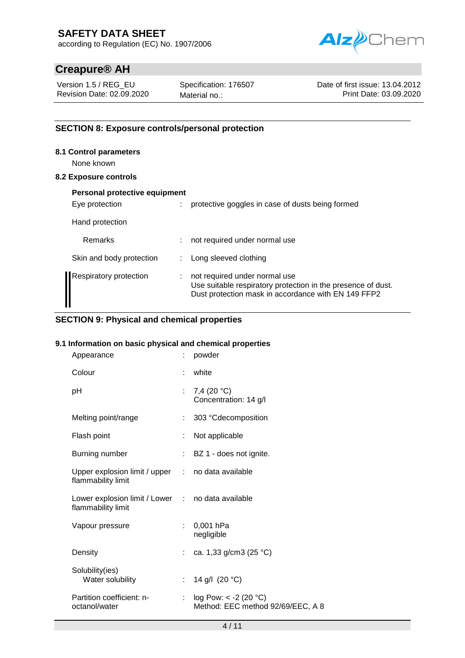according to Regulation (EC) No. 1907/2006



# **Creapure® AH**

Version 1.5 / REG\_EU Revision Date: 02.09.2020 Specification: 176507 Material no.:

Date of first issue: 13.04.2012 Print Date: 03.09.2020

## **SECTION 8: Exposure controls/personal protection**

#### **8.1 Control parameters**

None known

## **8.2 Exposure controls**

| Personal protective equipment |    |                                                                                                                                                      |
|-------------------------------|----|------------------------------------------------------------------------------------------------------------------------------------------------------|
| Eye protection                |    | protective goggles in case of dusts being formed                                                                                                     |
| Hand protection               |    |                                                                                                                                                      |
| Remarks                       |    | not required under normal use                                                                                                                        |
| Skin and body protection      |    | Long sleeved clothing                                                                                                                                |
| <b>Respiratory protection</b> | ÷. | not required under normal use<br>Use suitable respiratory protection in the presence of dust.<br>Dust protection mask in accordance with EN 149 FFP2 |

## **SECTION 9: Physical and chemical properties**

#### **9.1 Information on basic physical and chemical properties**

| Appearance                                                              |                           | powder                                                       |
|-------------------------------------------------------------------------|---------------------------|--------------------------------------------------------------|
| Colour                                                                  |                           | white                                                        |
| рH                                                                      |                           | 7,4 $(20 °C)$<br>Concentration: 14 g/l                       |
| Melting point/range                                                     |                           | 303 °Cdecomposition                                          |
| Flash point                                                             | ÷                         | Not applicable                                               |
| Burning number                                                          |                           | BZ 1 - does not ignite.                                      |
| Upper explosion limit / upper : no data available<br>flammability limit |                           |                                                              |
| Lower explosion limit / Lower : no data available<br>flammability limit |                           |                                                              |
| Vapour pressure                                                         | ÷.                        | 0,001 hPa<br>negligible                                      |
| Density                                                                 |                           | : ca. 1,33 g/cm3 (25 °C)                                     |
| Solubility(ies)<br>Water solubility                                     | $\mathbb{R}^{\mathbb{Z}}$ | 14 g/l (20 °C)                                               |
| Partition coefficient: n-<br>octanol/water                              | ÷.                        | log Pow: $< -2$ (20 °C)<br>Method: EEC method 92/69/EEC, A 8 |
|                                                                         |                           |                                                              |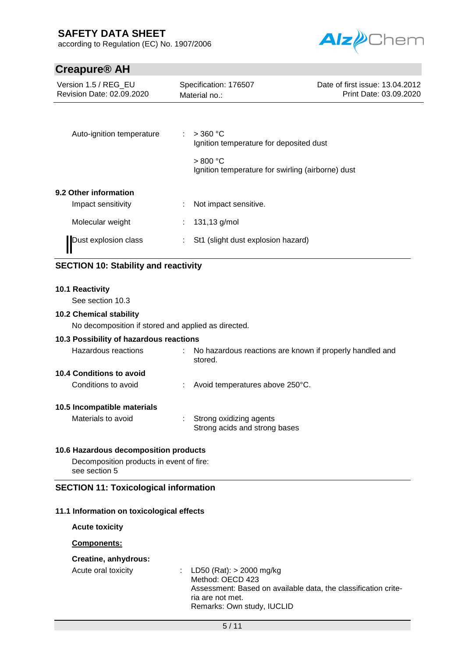according to Regulation (EC) No. 1907/2006



# **Creapure® AH**

| Version 1.5 / REG EU<br>Revision Date: 02.09.2020 | Specification: 176507<br>Material no.:                        | Date of first issue: 13.04.2012<br>Print Date: 03.09.2020 |
|---------------------------------------------------|---------------------------------------------------------------|-----------------------------------------------------------|
| Auto-ignition temperature                         | $>$ 360 °C<br>Ignition temperature for deposited dust         |                                                           |
|                                                   | > 800 °C<br>Ignition temperature for swirling (airborne) dust |                                                           |
| 9.2 Other information                             |                                                               |                                                           |
| Impact sensitivity                                | Not impact sensitive.                                         |                                                           |
| Molecular weight                                  | 131,13 g/mol                                                  |                                                           |
| Dust explosion class                              | St1 (slight dust explosion hazard)                            |                                                           |

# **SECTION 10: Stability and reactivity**

#### **10.1 Reactivity**

See section 10.3

#### **10.2 Chemical stability**

No decomposition if stored and applied as directed.

#### **10.3 Possibility of hazardous reactions**

| No hazardous reactions are known if properly handled and<br>Hazardous reactions<br>stored. |  |
|--------------------------------------------------------------------------------------------|--|
|--------------------------------------------------------------------------------------------|--|

## **10.4 Conditions to avoid**

Conditions to avoid : Avoid temperatures above 250°C.

#### **10.5 Incompatible materials**

| Materials to avoid | Strong oxidizing agents       |
|--------------------|-------------------------------|
|                    | Strong acids and strong bases |

#### **10.6 Hazardous decomposition products**

Decomposition products in event of fire: see section 5

#### **SECTION 11: Toxicological information**

#### **11.1 Information on toxicological effects**

**Acute toxicity**

#### **Components:**

## **Creatine, anhydrous:**

Acute oral toxicity : LD50 (Rat): > 2000 mg/kg Method: OECD 423 Assessment: Based on available data, the classification criteria are not met. Remarks: Own study, IUCLID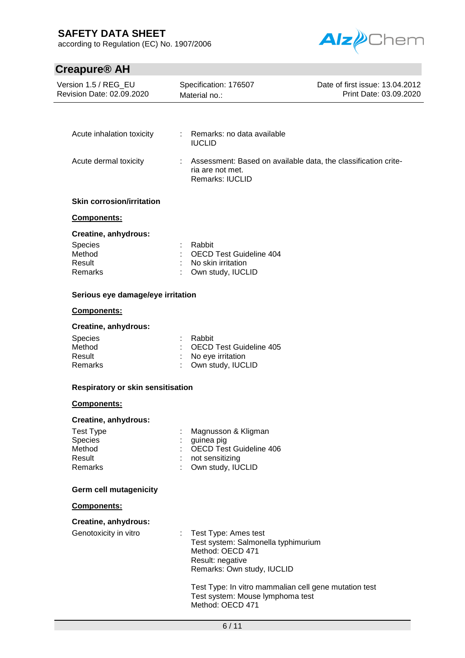according to Regulation (EC) No. 1907/2006



# **Creapure® AH**

| Version 1.5 / REG_EU<br>Revision Date: 02.09.2020 | Specification: 176507<br>Material no.:                                                                                              | Date of first issue: 13.04.2012<br>Print Date: 03.09.2020 |
|---------------------------------------------------|-------------------------------------------------------------------------------------------------------------------------------------|-----------------------------------------------------------|
|                                                   |                                                                                                                                     |                                                           |
|                                                   |                                                                                                                                     |                                                           |
| Acute inhalation toxicity                         | : Remarks: no data available<br><b>IUCLID</b>                                                                                       |                                                           |
| Acute dermal toxicity                             | Assessment: Based on available data, the classification crite-<br>ria are not met.<br>Remarks: IUCLID                               |                                                           |
| <b>Skin corrosion/irritation</b>                  |                                                                                                                                     |                                                           |
| Components:                                       |                                                                                                                                     |                                                           |
| Creatine, anhydrous:                              |                                                                                                                                     |                                                           |
| <b>Species</b>                                    | Rabbit                                                                                                                              |                                                           |
| Method                                            | <b>OECD Test Guideline 404</b>                                                                                                      |                                                           |
| Result<br>Remarks                                 | No skin irritation<br>Own study, IUCLID                                                                                             |                                                           |
|                                                   |                                                                                                                                     |                                                           |
| Serious eye damage/eye irritation                 |                                                                                                                                     |                                                           |
| Components:                                       |                                                                                                                                     |                                                           |
| Creatine, anhydrous:                              |                                                                                                                                     |                                                           |
| Species                                           | Rabbit                                                                                                                              |                                                           |
| Method<br>Result                                  | <b>OECD Test Guideline 405</b><br>No eye irritation                                                                                 |                                                           |
| Remarks                                           | Own study, IUCLID                                                                                                                   |                                                           |
| Respiratory or skin sensitisation                 |                                                                                                                                     |                                                           |
| Components:                                       |                                                                                                                                     |                                                           |
| Creatine, anhydrous:                              |                                                                                                                                     |                                                           |
| <b>Test Type</b>                                  | Magnusson & Kligman                                                                                                                 |                                                           |
| Species                                           | guinea pig                                                                                                                          |                                                           |
| Method                                            | <b>OECD Test Guideline 406</b>                                                                                                      |                                                           |
| Result<br>Remarks                                 | not sensitizing<br>Own study, IUCLID                                                                                                |                                                           |
|                                                   |                                                                                                                                     |                                                           |
| Germ cell mutagenicity                            |                                                                                                                                     |                                                           |
| Components:                                       |                                                                                                                                     |                                                           |
| Creatine, anhydrous:                              |                                                                                                                                     |                                                           |
| Genotoxicity in vitro                             | : Test Type: Ames test<br>Test system: Salmonella typhimurium<br>Method: OECD 471<br>Result: negative<br>Remarks: Own study, IUCLID |                                                           |
|                                                   | Test Type: In vitro mammalian cell gene mutation test<br>Test system: Mouse lymphoma test<br>Method: OECD 471                       |                                                           |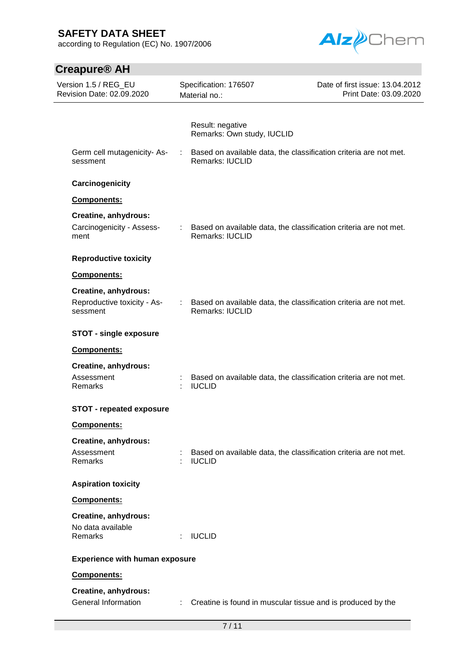according to Regulation (EC) No. 1907/2006



| <b>Creapure<sup>®</sup> AH</b>                                  |                                                |                                                                     |
|-----------------------------------------------------------------|------------------------------------------------|---------------------------------------------------------------------|
| Version 1.5 / REG_EU<br>Revision Date: 02.09.2020               | Specification: 176507<br>Material no.:         | Date of first issue: 13.04.2012<br>Print Date: 03.09.2020           |
|                                                                 | Result: negative<br>Remarks: Own study, IUCLID |                                                                     |
| Germ cell mutagenicity-As-<br>sessment                          | Remarks: IUCLID                                | : Based on available data, the classification criteria are not met. |
| Carcinogenicity                                                 |                                                |                                                                     |
| Components:                                                     |                                                |                                                                     |
| Creatine, anhydrous:<br>Carcinogenicity - Assess-<br>ment       | <b>Remarks: IUCLID</b>                         | : Based on available data, the classification criteria are not met. |
| <b>Reproductive toxicity</b>                                    |                                                |                                                                     |
| Components:                                                     |                                                |                                                                     |
| Creatine, anhydrous:<br>Reproductive toxicity - As-<br>sessment | <b>Remarks: IUCLID</b>                         | : Based on available data, the classification criteria are not met. |
| <b>STOT - single exposure</b>                                   |                                                |                                                                     |
| Components:                                                     |                                                |                                                                     |
| Creatine, anhydrous:                                            |                                                |                                                                     |
| Assessment<br>Remarks                                           | <b>IUCLID</b>                                  | Based on available data, the classification criteria are not met.   |
| <b>STOT - repeated exposure</b>                                 |                                                |                                                                     |
| Components:                                                     |                                                |                                                                     |
| Creatine, anhydrous:<br>Assessment<br>Remarks                   | <b>IUCLID</b><br>÷                             | Based on available data, the classification criteria are not met.   |
| <b>Aspiration toxicity</b>                                      |                                                |                                                                     |
| Components:                                                     |                                                |                                                                     |
| Creatine, anhydrous:<br>No data available<br>Remarks            | <b>IUCLID</b>                                  |                                                                     |
| <b>Experience with human exposure</b>                           |                                                |                                                                     |
| Components:                                                     |                                                |                                                                     |
| Creatine, anhydrous:<br><b>General Information</b>              | ÷.                                             | Creatine is found in muscular tissue and is produced by the         |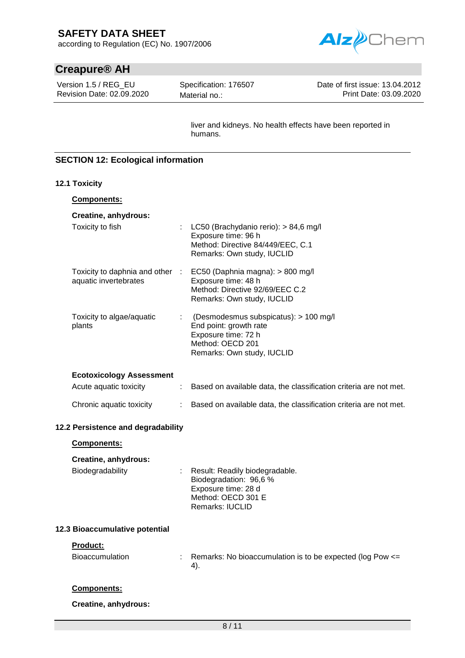according to Regulation (EC) No. 1907/2006

# **Creapure® AH**

Version 1.5 / REG\_EU Revision Date: 02.09.2020 Specification: 176507 Material no.:

Date of first issue: 13.04.2012 Print Date: 03.09.2020

Alz*p*Chem

liver and kidneys. No health effects have been reported in humans.

## **SECTION 12: Ecological information**

#### **12.1 Toxicity**

| <b>Components:</b>                                       |   |                                                                                                                                          |
|----------------------------------------------------------|---|------------------------------------------------------------------------------------------------------------------------------------------|
| Creatine, anhydrous:                                     |   |                                                                                                                                          |
| Toxicity to fish                                         |   | : LC50 (Brachydanio rerio): $> 84,6$ mg/l<br>Exposure time: 96 h<br>Method: Directive 84/449/EEC, C.1<br>Remarks: Own study, IUCLID      |
| Toxicity to daphnia and other :<br>aquatic invertebrates |   | EC50 (Daphnia magna): > 800 mg/l<br>Exposure time: 48 h<br>Method: Directive 92/69/EEC C.2<br>Remarks: Own study, IUCLID                 |
| Toxicity to algae/aquatic<br>plants                      |   | (Desmodesmus subspicatus): > 100 mg/l<br>End point: growth rate<br>Exposure time: 72 h<br>Method: OECD 201<br>Remarks: Own study, IUCLID |
| <b>Ecotoxicology Assessment</b>                          |   |                                                                                                                                          |
| Acute aquatic toxicity                                   | ÷ | Based on available data, the classification criteria are not met.                                                                        |
| Chronic aquatic toxicity                                 | ÷ | Based on available data, the classification criteria are not met.                                                                        |
| 12.2 Persistence and degradability                       |   |                                                                                                                                          |
|                                                          |   |                                                                                                                                          |

## **Components:**

## **Creatine, anhydrous:**

| Biodegradability | : Result: Readily biodegradable. |
|------------------|----------------------------------|
|                  | Biodegradation: 96,6 %           |
|                  | Exposure time: 28 d              |
|                  | Method: OECD 301 E               |
|                  | <b>Remarks: IUCLID</b>           |

#### **12.3 Bioaccumulative potential**

#### **Product:**

| Bioaccumulation | Remarks: No bioaccumulation is to be expected (log Pow <= |
|-----------------|-----------------------------------------------------------|
|                 |                                                           |

#### **Components:**

**Creatine, anhydrous:**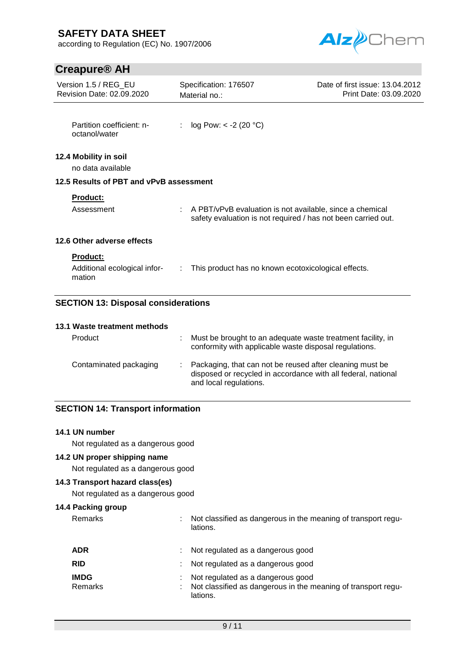according to Regulation (EC) No. 1907/2006



# **Creapure® AH**

| Version 1.5 / REG EU<br>Revision Date: 02.09.2020         | Specification: 176507<br>Material no.:                                                                                    | Date of first issue: 13.04.2012<br>Print Date: 03.09.2020 |  |
|-----------------------------------------------------------|---------------------------------------------------------------------------------------------------------------------------|-----------------------------------------------------------|--|
| Partition coefficient: n-<br>octanol/water                | $log Pow: < -2 (20 °C)$                                                                                                   |                                                           |  |
| 12.4 Mobility in soil<br>no data available                |                                                                                                                           |                                                           |  |
| 12.5 Results of PBT and vPvB assessment                   |                                                                                                                           |                                                           |  |
| Product:<br>Assessment                                    | A PBT/vPvB evaluation is not available, since a chemical<br>safety evaluation is not required / has not been carried out. |                                                           |  |
| 12.6 Other adverse effects                                |                                                                                                                           |                                                           |  |
| <b>Product:</b><br>Additional ecological infor-<br>mation | This product has no known ecotoxicological effects.                                                                       |                                                           |  |
| <b>SECTION 13: Disposal considerations</b>                |                                                                                                                           |                                                           |  |
| 13.1 Waste treatment methods<br><b>Product</b>            | Must be brought to an adequate waste treatment facility in                                                                |                                                           |  |

| Product                | Must be brought to an adequate waste treatment facility, in<br>conformity with applicable waste disposal regulations.                                 |
|------------------------|-------------------------------------------------------------------------------------------------------------------------------------------------------|
| Contaminated packaging | : Packaging, that can not be reused after cleaning must be<br>disposed or recycled in accordance with all federal, national<br>and local regulations. |

## **SECTION 14: Transport information**

# **14.1 UN number**

Not regulated as a dangerous good

# **14.2 UN proper shipping name**

Not regulated as a dangerous good

## **14.3 Transport hazard class(es)**

Not regulated as a dangerous good

# **14.4 Packing group**

Remarks : Not classified as dangerous in the meaning of transport regulations.

| <b>ADR</b>             | : Not regulated as a dangerous good                                                                              |
|------------------------|------------------------------------------------------------------------------------------------------------------|
| <b>RID</b>             | : Not regulated as a dangerous good                                                                              |
| <b>IMDG</b><br>Remarks | : Not regulated as a dangerous good<br>Not classified as dangerous in the meaning of transport regu-<br>lations. |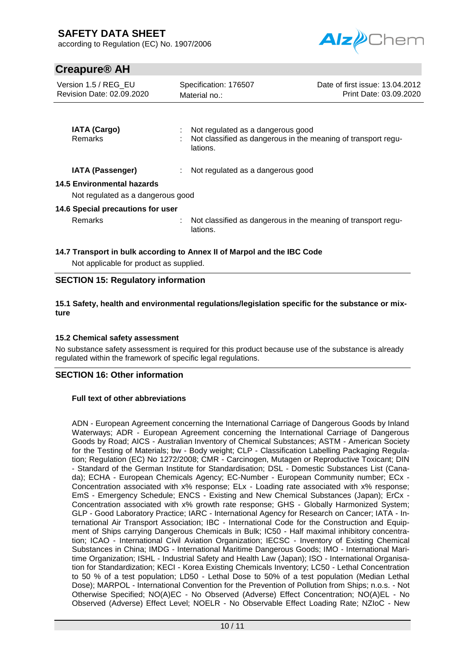according to Regulation (EC) No. 1907/2006



# **Creapure® AH**

| Version 1.5 / REG EU<br>Revision Date: 02.09.2020 |  | Specification: 176507<br>Material no.:                                                                         | Date of first issue: 13.04.2012<br>Print Date: 03.09.2020 |  |  |  |  |
|---------------------------------------------------|--|----------------------------------------------------------------------------------------------------------------|-----------------------------------------------------------|--|--|--|--|
| <b>IATA (Cargo)</b><br><b>Remarks</b>             |  | Not regulated as a dangerous good<br>Not classified as dangerous in the meaning of transport regu-<br>lations. |                                                           |  |  |  |  |
| <b>IATA (Passenger)</b>                           |  | Not regulated as a dangerous good                                                                              |                                                           |  |  |  |  |
| 14.5 Environmental hazards                        |  |                                                                                                                |                                                           |  |  |  |  |
| Not regulated as a dangerous good                 |  |                                                                                                                |                                                           |  |  |  |  |
| 14.6 Special precautions for user                 |  |                                                                                                                |                                                           |  |  |  |  |
| <b>Remarks</b>                                    |  | Not classified as dangerous in the meaning of transport regu-<br>lations.                                      |                                                           |  |  |  |  |
|                                                   |  |                                                                                                                |                                                           |  |  |  |  |

## **14.7 Transport in bulk according to Annex II of Marpol and the IBC Code**

Not applicable for product as supplied.

## **SECTION 15: Regulatory information**

#### **15.1 Safety, health and environmental regulations/legislation specific for the substance or mixture**

#### **15.2 Chemical safety assessment**

No substance safety assessment is required for this product because use of the substance is already regulated within the framework of specific legal regulations.

## **SECTION 16: Other information**

#### **Full text of other abbreviations**

ADN - European Agreement concerning the International Carriage of Dangerous Goods by Inland Waterways; ADR - European Agreement concerning the International Carriage of Dangerous Goods by Road; AICS - Australian Inventory of Chemical Substances; ASTM - American Society for the Testing of Materials; bw - Body weight; CLP - Classification Labelling Packaging Regulation; Regulation (EC) No 1272/2008; CMR - Carcinogen, Mutagen or Reproductive Toxicant; DIN - Standard of the German Institute for Standardisation; DSL - Domestic Substances List (Canada); ECHA - European Chemicals Agency; EC-Number - European Community number; ECx - Concentration associated with x% response; ELx - Loading rate associated with x% response; EmS - Emergency Schedule; ENCS - Existing and New Chemical Substances (Japan); ErCx - Concentration associated with x% growth rate response; GHS - Globally Harmonized System; GLP - Good Laboratory Practice; IARC - International Agency for Research on Cancer; IATA - International Air Transport Association; IBC - International Code for the Construction and Equipment of Ships carrying Dangerous Chemicals in Bulk; IC50 - Half maximal inhibitory concentration; ICAO - International Civil Aviation Organization; IECSC - Inventory of Existing Chemical Substances in China; IMDG - International Maritime Dangerous Goods; IMO - International Maritime Organization; ISHL - Industrial Safety and Health Law (Japan); ISO - International Organisation for Standardization; KECI - Korea Existing Chemicals Inventory; LC50 - Lethal Concentration to 50 % of a test population; LD50 - Lethal Dose to 50% of a test population (Median Lethal Dose); MARPOL - International Convention for the Prevention of Pollution from Ships; n.o.s. - Not Otherwise Specified; NO(A)EC - No Observed (Adverse) Effect Concentration; NO(A)EL - No Observed (Adverse) Effect Level; NOELR - No Observable Effect Loading Rate; NZIoC - New